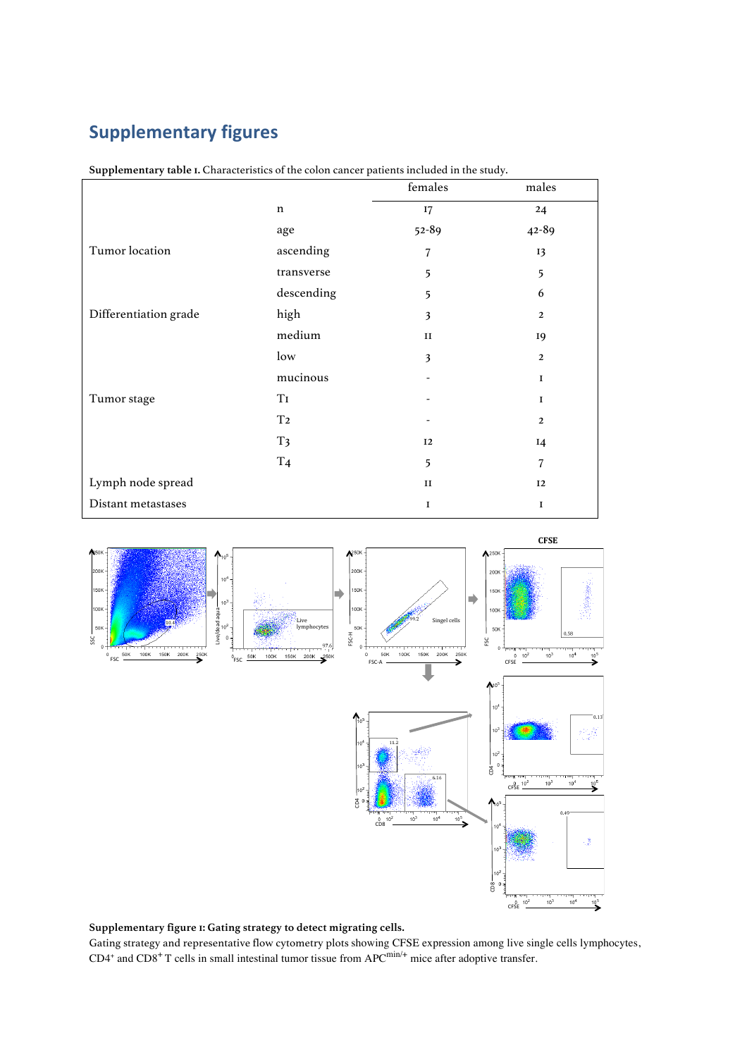## **Supplementary figures**

| . .                   | ×.             | females   | males        |
|-----------------------|----------------|-----------|--------------|
|                       | $\mathbf n$    | 17        | 24           |
|                       | age            | $52 - 89$ | 42-89        |
| Tumor location        | ascending      | 7         | 13           |
|                       | transverse     | 5         | 5            |
|                       | descending     | 5         | 6            |
| Differentiation grade | high           | 3         | $\mathbf{2}$ |
|                       | medium         | $\rm II$  | 19           |
|                       | low            | 3         | $\mathbf{2}$ |
|                       | mucinous       |           | $\mathbf I$  |
| Tumor stage           | T <sub>I</sub> |           | $\bf I$      |
|                       | T <sub>2</sub> |           | $\mathbf{2}$ |
|                       | T <sub>3</sub> | 12        | $I$ 4        |
|                       | T <sub>4</sub> | 5         | 7            |
| Lymph node spread     |                | $\rm II$  | 12           |
| Distant metastases    |                | I         | $\bf I$      |

**Supplementary table 1.** Characteristics of the colon cancer patients included in the study.



## **Supplementary figure 1: Gating strategy to detect migrating cells.**

Gating strategy and representative flow cytometry plots showing CFSE expression among live single cells lymphocytes,  $CD4^+$  and  $CD8^+$  T cells in small intestinal tumor tissue from APC<sup>min/+</sup> mice after adoptive transfer.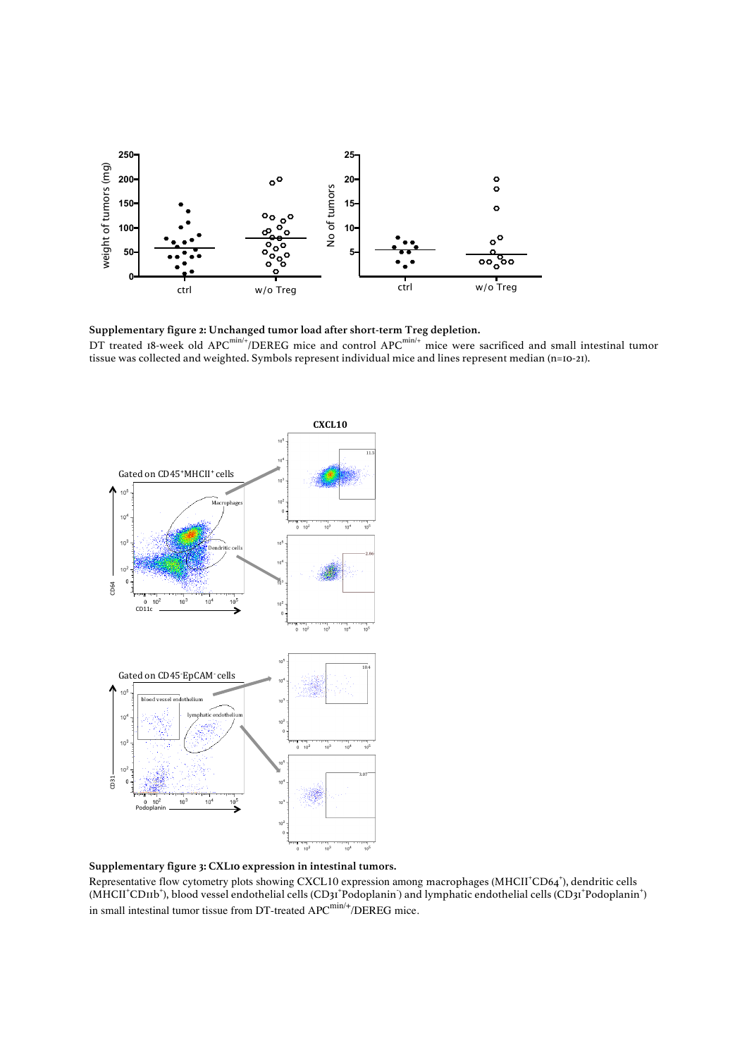

**Supplementary figure 2: Unchanged tumor load after short-term Treg depletion.**  DT treated 18-week old APC $^{min/+}$ /DEREG mice and control APC $^{min/+}$  mice were sacrificed and small intestinal tumor tissue was collected and weighted. Symbols represent individual mice and lines represent median (n=10-21).



**Supplementary figure 3: CXL10 expression in intestinal tumors.** 

Representative flow cytometry plots showing CXCL10 expression among macrophages (MHCII+CD64+), dendritic cells (MHCII<sup>+</sup>CD11b<sup>+</sup>), blood vessel endothelial cells (CD31<sup>+</sup>Podoplanin) and lymphatic endothelial cells (CD31<sup>+</sup>Podoplanin<sup>+</sup>) in small intestinal tumor tissue from DT-treated  $APC^{min/+}/DEREG$  mice.